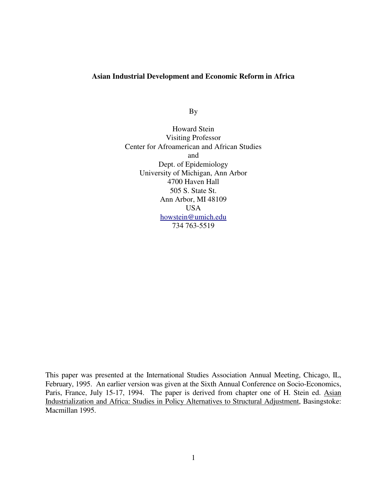## **Asian Industrial Development and Economic Reform in Africa**

By

Howard Stein Visiting Professor Center for Afroamerican and African Studies and Dept. of Epidemiology University of Michigan, Ann Arbor 4700 Haven Hall 505 S. State St. Ann Arbor, MI 48109 USA howstein@umich.edu 734 763-5519

This paper was presented at the International Studies Association Annual Meeting, Chicago, IL, February, 1995. An earlier version was given at the Sixth Annual Conference on Socio-Economics, Paris, France, July 15-17, 1994. The paper is derived from chapter one of H. Stein ed. Asian Industrialization and Africa: Studies in Policy Alternatives to Structural Adjustment, Basingstoke: Macmillan 1995.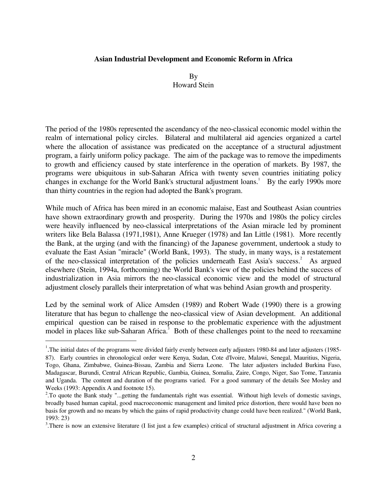## **Asian Industrial Development and Economic Reform in Africa**

By Howard Stein

The period of the 1980s represented the ascendancy of the neo-classical economic model within the realm of international policy circles. Bilateral and multilateral aid agencies organized a cartel where the allocation of assistance was predicated on the acceptance of a structural adjustment program, a fairly uniform policy package. The aim of the package was to remove the impediments to growth and efficiency caused by state interference in the operation of markets. By 1987, the programs were ubiquitous in sub-Saharan Africa with twenty seven countries initiating policy changes in exchange for the World Bank's structural adjustment loans.<sup>1</sup> By the early 1990s more than thirty countries in the region had adopted the Bank's program.

While much of Africa has been mired in an economic malaise, East and Southeast Asian countries have shown extraordinary growth and prosperity. During the 1970s and 1980s the policy circles were heavily influenced by neo-classical interpretations of the Asian miracle led by prominent writers like Bela Balassa (1971,1981), Anne Krueger (1978) and Ian Little (1981). More recently the Bank, at the urging (and with the financing) of the Japanese government, undertook a study to evaluate the East Asian "miracle" (World Bank, 1993). The study, in many ways, is a restatement of the neo-classical interpretation of the policies underneath East Asia's success.<sup>2</sup> As argued elsewhere (Stein, 1994a, forthcoming) the World Bank's view of the policies behind the success of industrialization in Asia mirrors the neo-classical economic view and the model of structural adjustment closely parallels their interpretation of what was behind Asian growth and prosperity.

Led by the seminal work of Alice Amsden (1989) and Robert Wade (1990) there is a growing literature that has begun to challenge the neo-classical view of Asian development. An additional empirical question can be raised in response to the problematic experience with the adjustment model in places like sub-Saharan Africa.<sup>3</sup> Both of these challenges point to the need to reexamine

l

<sup>&</sup>lt;sup>1</sup>. The initial dates of the programs were divided fairly evenly between early adjusters 1980-84 and later adjusters (1985-87). Early countries in chronological order were Kenya, Sudan, Cote d'Ivoire, Malawi, Senegal, Mauritius, Nigeria, Togo, Ghana, Zimbabwe, Guinea-Bissau, Zambia and Sierra Leone. The later adjusters included Burkina Faso, Madagascar, Burundi, Central African Republic, Gambia, Guinea, Somalia, Zaire, Congo, Niger, Sao Tome, Tanzania and Uganda. The content and duration of the programs varied. For a good summary of the details See Mosley and Weeks (1993: Appendix A and footnote 15).

 $2$ . To quote the Bank study "...getting the fundamentals right was essential. Without high levels of domestic savings, broadly based human capital, good macroeconomic management and limited price distortion, there would have been no basis for growth and no means by which the gains of rapid productivity change could have been realized." (World Bank, 1993: 23)

 $3$ . There is now an extensive literature (I list just a few examples) critical of structural adjustment in Africa covering a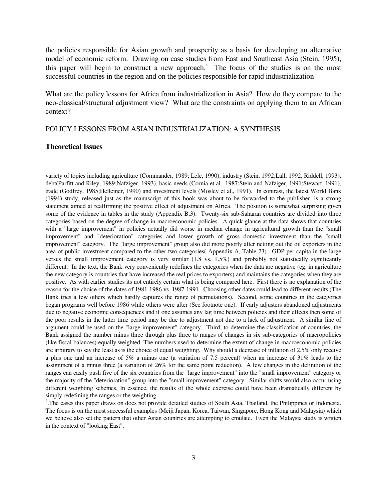the policies responsible for Asian growth and prosperity as a basis for developing an alternative model of economic reform. Drawing on case studies from East and Southeast Asia (Stein, 1995), this paper will begin to construct a new approach.<sup>4</sup> The focus of the studies is on the most successful countries in the region and on the policies responsible for rapid industrialization

What are the policy lessons for Africa from industrialization in Asia? How do they compare to the neo-classical/structural adjustment view? What are the constraints on applying them to an African context?

## POLICY LESSONS FROM ASIAN INDUSTRIALIZATION: A SYNTHESIS

#### **Theoretical Issues**

-

variety of topics including agriculture (Commander, 1989; Lele, 1990), industry (Stein, 1992;Lall, 1992, Riddell, 1993), debt(Parfitt and Riley, 1989;Nafziger, 1993), basic needs (Cornia et al., 1987;Stein and Nafziger, 1991;Stewart, 1991), trade (Godfrey, 1985;Helleiner, 1990) and investment levels (Mosley et al., 1991). In contrast, the latest World Bank (1994) study, released just as the manuscript of this book was about to be forwarded to the publisher, is a strong statement aimed at reaffirming the positive effect of adjustment on Africa. The position is somewhat surprising given some of the evidence in tables in the study (Appendix B.3). Twenty-six sub-Saharan countries are divided into three categories based on the degree of change in macroeconomic policies. A quick glance at the data shows that countries with a "large improvement" in policies actually did worse in median change in agricultural growth than the "small improvement" and "deterioration" categories and lower growth of gross domestic investment than the "small improvement" category. The "large improvement" group also did more poorly after netting out the oil exporters in the area of public investment compared to the other two categories( Appendix A, Table 23). GDP per capita in the large versus the small improvement category is very similar (1.8 vs. 1.5%) and probably not statistically significantly different. In the text, the Bank very conveniently redefines the categories when the data are negative (eg. in agriculture the new category is countries that have increased the real prices to exporters) and maintains the categories when they are positive. As with earlier studies its not entirely certain what is being compared here. First there is no explanation of the reason for the choice of the dates of 1981-1986 vs. 1987-1991. Choosing other dates could lead to different results (The Bank tries a few others which hardly captures the range of permutations). Second, some countries in the categories began programs well before 1986 while others were after (See footnote one). If early adjusters abandoned adjustments due to negative economic consequences and if one assumes any lag time between policies and their effects then some of the poor results in the latter time period may be due to adjustment not due to a lack of adjustment. A similar line of argument could be used on the "large improvement" category. Third, to determine the classification of countries, the Bank assigned the number minus three through plus three to ranges of changes in six sub-categories of macropolicies (like fiscal balances) equally weighted. The numbers used to determine the extent of change in macroeconomic policies are arbitrary to say the least as is the choice of equal weighting. Why should a decrease of inflation of 2.5% only receive a plus one and an increase of 5% a minus one (a variation of 7.5 percent) when an increase of 31% leads to the assignment of a minus three (a variation of 26% for the same point reduction). A few changes in the definition of the ranges can easily push five of the six countries from the "large improvement" into the "small improvement" category or the majority of the "deterioration" group into the "small improvement" category. Similar shifts would also occur using different weighting schemes. In essence, the results of the whole exercise could have been dramatically different by simply redefining the ranges or the weighting.

<sup>4</sup>. The cases this paper draws on does not provide detailed studies of South Asia, Thailand, the Philippines or Indonesia. The focus is on the most successful examples (Meiji Japan, Korea, Taiwan, Singapore, Hong Kong and Malaysia) which we believe also set the pattern that other Asian countries are attempting to emulate. Even the Malaysia study is written in the context of "looking East".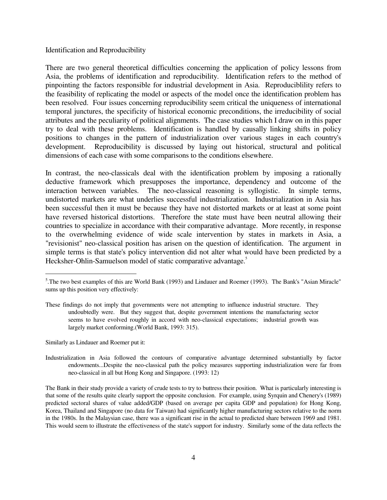#### Identification and Reproducibility

There are two general theoretical difficulties concerning the application of policy lessons from Asia, the problems of identification and reproducibility. Identification refers to the method of pinpointing the factors responsible for industrial development in Asia. Reproduciblility refers to the feasibility of replicating the model or aspects of the model once the identification problem has been resolved. Four issues concerning reproducibility seem critical the uniqueness of international temporal junctures, the specificity of historical economic preconditions, the irreducibility of social attributes and the peculiarity of political alignments. The case studies which I draw on in this paper try to deal with these problems. Identification is handled by causally linking shifts in policy positions to changes in the pattern of industrialization over various stages in each country's development. Reproducibility is discussed by laying out historical, structural and political dimensions of each case with some comparisons to the conditions elsewhere.

In contrast, the neo-classicals deal with the identification problem by imposing a rationally deductive framework which presupposes the importance, dependency and outcome of the interaction between variables. The neo-classical reasoning is syllogistic. In simple terms, undistorted markets are what underlies successful industrialization. Industrialization in Asia has been successful then it must be because they have not distorted markets or at least at some point have reversed historical distortions. Therefore the state must have been neutral allowing their countries to specialize in accordance with their comparative advantage. More recently, in response to the overwhelming evidence of wide scale intervention by states in markets in Asia, a "revisionist" neo-classical position has arisen on the question of identification. The argument in simple terms is that state's policy intervention did not alter what would have been predicted by a Hecksher-Ohlin-Samuelson model of static comparative advantage.<sup>5</sup>

Similarly as Lindauer and Roemer put it:

l

Industrialization in Asia followed the contours of comparative advantage determined substantially by factor endowments...Despite the neo-classical path the policy measures supporting industrialization were far from neo-classical in all but Hong Kong and Singapore. (1993: 12)

The Bank in their study provide a variety of crude tests to try to buttress their position. What is particularly interesting is that some of the results quite clearly support the opposite conclusion. For example, using Syrquin and Chenery's (1989) predicted sectoral shares of value added/GDP (based on average per capita GDP and population) for Hong Kong, Korea, Thailand and Singapore (no data for Taiwan) had significantly higher manufacturing sectors relative to the norm in the 1980s. In the Malaysian case, there was a significant rise in the actual to predicted share between 1969 and 1981. This would seem to illustrate the effectiveness of the state's support for industry. Similarly some of the data reflects the

<sup>&</sup>lt;sup>5</sup>. The two best examples of this are World Bank (1993) and Lindauer and Roemer (1993). The Bank's "Asian Miracle" sums up this position very effectively:

These findings do not imply that governments were not attempting to influence industrial structure. They undoubtedly were. But they suggest that, despite government intentions the manufacturing sector seems to have evolved roughly in accord with neo-classical expectations; industrial growth was largely market conforming.(World Bank, 1993: 315).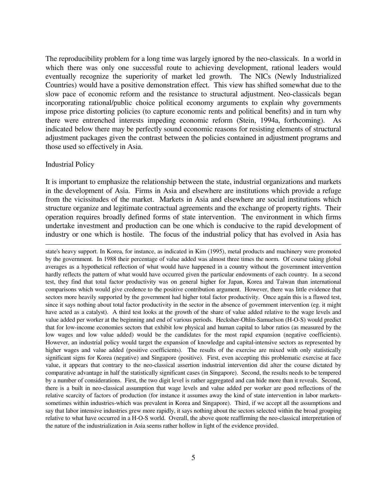The reproducibility problem for a long time was largely ignored by the neo-classicals. In a world in which there was only one successful route to achieving development, rational leaders would eventually recognize the superiority of market led growth. The NICs (Newly Industrialized Countries) would have a positive demonstration effect. This view has shifted somewhat due to the slow pace of economic reform and the resistance to structural adjustment. Neo-classicals began incorporating rational/public choice political economy arguments to explain why governments impose price distorting policies (to capture economic rents and political benefits) and in turn why there were entrenched interests impeding economic reform (Stein, 1994a, forthcoming). As indicated below there may be perfectly sound economic reasons for resisting elements of structural adjustment packages given the contrast between the policies contained in adjustment programs and those used so effectively in Asia.

### Industrial Policy

-

It is important to emphasize the relationship between the state, industrial organizations and markets in the development of Asia. Firms in Asia and elsewhere are institutions which provide a refuge from the vicissitudes of the market. Markets in Asia and elsewhere are social institutions which structure organize and legitimate contractual agreements and the exchange of property rights. Their operation requires broadly defined forms of state intervention. The environment in which firms undertake investment and production can be one which is conducive to the rapid development of industry or one which is hostile. The focus of the industrial policy that has evolved in Asia has

state's heavy support. In Korea, for instance, as indicated in Kim (1995), metal products and machinery were promoted by the government. In 1988 their percentage of value added was almost three times the norm. Of course taking global averages as a hypothetical reflection of what would have happened in a country without the government intervention hardly reflects the pattern of what would have occurred given the particular endowments of each country. In a second test, they find that total factor productivity was on general higher for Japan, Korea and Taiwan than international comparisons which would give credence to the positive contribution argument. However, there was little evidence that sectors more heavily supported by the government had higher total factor productivity. Once again this is a flawed test, since it says nothing about total factor productivity in the sector in the absence of government intervention (eg. it might have acted as a catalyst). A third test looks at the growth of the share of value added relative to the wage levels and value added per worker at the beginning and end of various periods. Hecksher-Ohlin-Samuelson (H-O-S) would predict that for low-income economies sectors that exhibit low physical and human capital to labor ratios (as measured by the low wages and low value added) would be the candidates for the most rapid expansion (negative coefficients). However, an industrial policy would target the expansion of knowledge and capital-intensive sectors as represented by higher wages and value added (positive coefficients). The results of the exercise are mixed with only statistically significant signs for Korea (negative) and Singapore (positive). First, even accepting this problematic exercise at face value, it appears that contrary to the neo-classical assertion industrial intervention did alter the course dictated by comparative advantage in half the statistically significant cases (in Singapore). Second, the results needs to be tempered by a number of considerations. First, the two digit level is rather aggregated and can hide more than it reveals. Second, there is a built in neo-classical assumption that wage levels and value added per worker are good reflections of the relative scarcity of factors of production (for instance it assumes away the kind of state intervention in labor marketssometimes within industries-which was prevalent in Korea and Singapore). Third, if we accept all the assumptions and say that labor intensive industries grew more rapidly, it says nothing about the sectors selected within the broad grouping relative to what have occurred in a H-O-S world. Overall, the above quote reaffirming the neo-classical interpretation of the nature of the industrialization in Asia seems rather hollow in light of the evidence provided.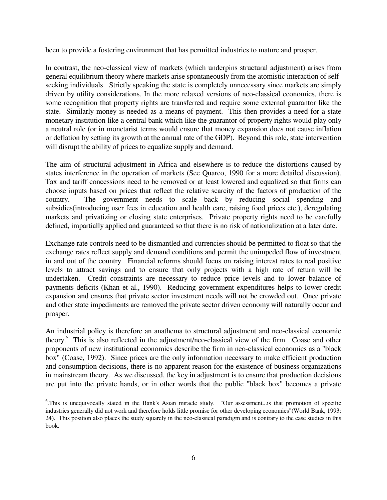been to provide a fostering environment that has permitted industries to mature and prosper.

In contrast, the neo-classical view of markets (which underpins structural adjustment) arises from general equilibrium theory where markets arise spontaneously from the atomistic interaction of selfseeking individuals. Strictly speaking the state is completely unnecessary since markets are simply driven by utility considerations. In the more relaxed versions of neo-classical economics, there is some recognition that property rights are transferred and require some external guarantor like the state. Similarly money is needed as a means of payment. This then provides a need for a state monetary institution like a central bank which like the guarantor of property rights would play only a neutral role (or in monetarist terms would ensure that money expansion does not cause inflation or deflation by setting its growth at the annual rate of the GDP). Beyond this role, state intervention will disrupt the ability of prices to equalize supply and demand.

The aim of structural adjustment in Africa and elsewhere is to reduce the distortions caused by states interference in the operation of markets (See Quarco, 1990 for a more detailed discussion). Tax and tariff concessions need to be removed or at least lowered and equalized so that firms can choose inputs based on prices that reflect the relative scarcity of the factors of production of the country. The government needs to scale back by reducing social spending and subsidies(introducing user fees in education and health care, raising food prices etc.), deregulating markets and privatizing or closing state enterprises. Private property rights need to be carefully defined, impartially applied and guaranteed so that there is no risk of nationalization at a later date.

Exchange rate controls need to be dismantled and currencies should be permitted to float so that the exchange rates reflect supply and demand conditions and permit the unimpeded flow of investment in and out of the country. Financial reforms should focus on raising interest rates to real positive levels to attract savings and to ensure that only projects with a high rate of return will be undertaken. Credit constraints are necessary to reduce price levels and to lower balance of payments deficits (Khan et al., 1990). Reducing government expenditures helps to lower credit expansion and ensures that private sector investment needs will not be crowded out. Once private and other state impediments are removed the private sector driven economy will naturally occur and prosper.

An industrial policy is therefore an anathema to structural adjustment and neo-classical economic theory.<sup>6</sup> This is also reflected in the adjustment/neo-classical view of the firm. Coase and other proponents of new institutional economics describe the firm in neo-classical economics as a "black box" (Coase, 1992). Since prices are the only information necessary to make efficient production and consumption decisions, there is no apparent reason for the existence of business organizations in mainstream theory. As we discussed, the key in adjustment is to ensure that production decisions are put into the private hands, or in other words that the public "black box" becomes a private

l

<sup>&</sup>lt;sup>6</sup>.This is unequivocally stated in the Bank's Asian miracle study. "Our assessment...is that promotion of specific industries generally did not work and therefore holds little promise for other developing economies"(World Bank, 1993: 24). This position also places the study squarely in the neo-classical paradigm and is contrary to the case studies in this book.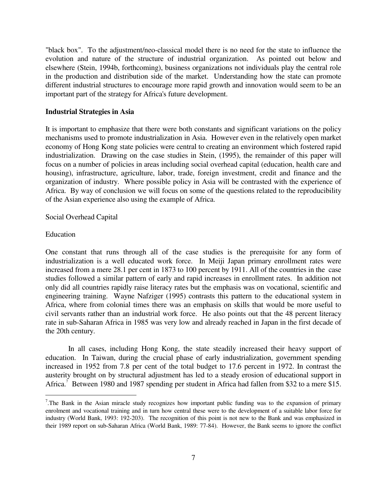"black box". To the adjustment/neo-classical model there is no need for the state to influence the evolution and nature of the structure of industrial organization. As pointed out below and elsewhere (Stein, 1994b, forthcoming), business organizations not individuals play the central role in the production and distribution side of the market. Understanding how the state can promote different industrial structures to encourage more rapid growth and innovation would seem to be an important part of the strategy for Africa's future development.

### **Industrial Strategies in Asia**

It is important to emphasize that there were both constants and significant variations on the policy mechanisms used to promote industrialization in Asia. However even in the relatively open market economy of Hong Kong state policies were central to creating an environment which fostered rapid industrialization. Drawing on the case studies in Stein, (1995), the remainder of this paper will focus on a number of policies in areas including social overhead capital (education, health care and housing), infrastructure, agriculture, labor, trade, foreign investment, credit and finance and the organization of industry. Where possible policy in Asia will be contrasted with the experience of Africa. By way of conclusion we will focus on some of the questions related to the reproducibility of the Asian experience also using the example of Africa.

## Social Overhead Capital

### Education

l

One constant that runs through all of the case studies is the prerequisite for any form of industrialization is a well educated work force. In Meiji Japan primary enrollment rates were increased from a mere 28.1 per cent in 1873 to 100 percent by 1911. All of the countries in the case studies followed a similar pattern of early and rapid increases in enrollment rates. In addition not only did all countries rapidly raise literacy rates but the emphasis was on vocational, scientific and engineering training. Wayne Nafziger (1995) contrasts this pattern to the educational system in Africa, where from colonial times there was an emphasis on skills that would be more useful to civil servants rather than an industrial work force. He also points out that the 48 percent literacy rate in sub-Saharan Africa in 1985 was very low and already reached in Japan in the first decade of the 20th century.

 In all cases, including Hong Kong, the state steadily increased their heavy support of education. In Taiwan, during the crucial phase of early industrialization, government spending increased in 1952 from 7.8 per cent of the total budget to 17.6 percent in 1972. In contrast the austerity brought on by structural adjustment has led to a steady erosion of educational support in Africa.<sup>7</sup> Between 1980 and 1987 spending per student in Africa had fallen from \$32 to a mere \$15.

<sup>&</sup>lt;sup>7</sup>. The Bank in the Asian miracle study recognizes how important public funding was to the expansion of primary enrolment and vocational training and in turn how central these were to the development of a suitable labor force for industry (World Bank, 1993: 192-203). The recognition of this point is not new to the Bank and was emphasized in their 1989 report on sub-Saharan Africa (World Bank, 1989: 77-84). However, the Bank seems to ignore the conflict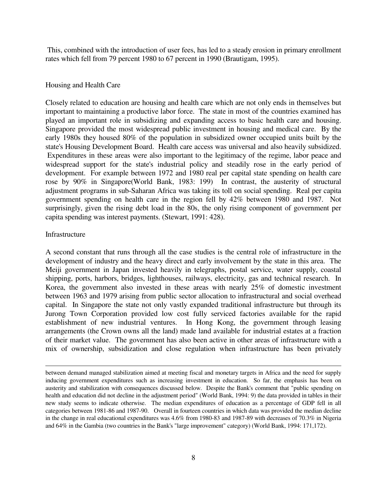This, combined with the introduction of user fees, has led to a steady erosion in primary enrollment rates which fell from 79 percent 1980 to 67 percent in 1990 (Brautigam, 1995).

#### Housing and Health Care

Closely related to education are housing and health care which are not only ends in themselves but important to maintaining a productive labor force. The state in most of the countries examined has played an important role in subsidizing and expanding access to basic health care and housing. Singapore provided the most widespread public investment in housing and medical care. By the early 1980s they housed 80% of the population in subsidized owner occupied units built by the state's Housing Development Board. Health care access was universal and also heavily subsidized. Expenditures in these areas were also important to the legitimacy of the regime, labor peace and widespread support for the state's industrial policy and steadily rose in the early period of development. For example between 1972 and 1980 real per capital state spending on health care rose by 90% in Singapore(World Bank, 1983: 199) In contrast, the austerity of structural adjustment programs in sub-Saharan Africa was taking its toll on social spending. Real per capita government spending on health care in the region fell by 42% between 1980 and 1987. Not surprisingly, given the rising debt load in the 80s, the only rising component of government per capita spending was interest payments. (Stewart, 1991: 428).

### Infrastructure

-

A second constant that runs through all the case studies is the central role of infrastructure in the development of industry and the heavy direct and early involvement by the state in this area. The Meiji government in Japan invested heavily in telegraphs, postal service, water supply, coastal shipping, ports, harbors, bridges, lighthouses, railways, electricity, gas and technical research. In Korea, the government also invested in these areas with nearly 25% of domestic investment between 1963 and 1979 arising from public sector allocation to infrastructural and social overhead capital. In Singapore the state not only vastly expanded traditional infrastructure but through its Jurong Town Corporation provided low cost fully serviced factories available for the rapid establishment of new industrial ventures. In Hong Kong, the government through leasing arrangements (the Crown owns all the land) made land available for industrial estates at a fraction of their market value. The government has also been active in other areas of infrastructure with a mix of ownership, subsidization and close regulation when infrastructure has been privately

between demand managed stabilization aimed at meeting fiscal and monetary targets in Africa and the need for supply inducing government expenditures such as increasing investment in education. So far, the emphasis has been on austerity and stabilization with consequences discussed below. Despite the Bank's comment that "public spending on health and education did not decline in the adjustment period" (World Bank, 1994: 9) the data provided in tables in their new study seems to indicate otherwise. The median expenditures of education as a percentage of GDP fell in all categories between 1981-86 and 1987-90. Overall in fourteen countries in which data was provided the median decline in the change in real educational expenditures was 4.6% from 1980-83 and 1987-89 with decreases of 70.3% in Nigeria and 64% in the Gambia (two countries in the Bank's "large improvement" category) (World Bank, 1994: 171,172).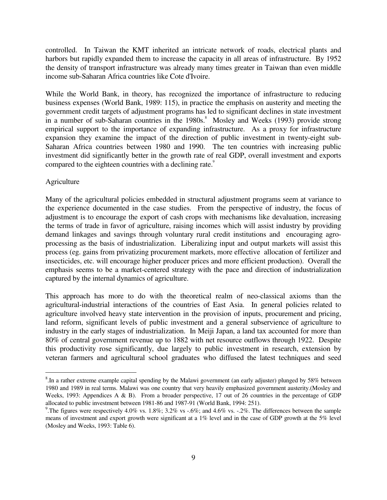controlled. In Taiwan the KMT inherited an intricate network of roads, electrical plants and harbors but rapidly expanded them to increase the capacity in all areas of infrastructure. By 1952 the density of transport infrastructure was already many times greater in Taiwan than even middle income sub-Saharan Africa countries like Cote d'Ivoire.

While the World Bank, in theory, has recognized the importance of infrastructure to reducing business expenses (World Bank, 1989: 115), in practice the emphasis on austerity and meeting the government credit targets of adjustment programs has led to significant declines in state investment in a number of sub-Saharan countries in the 1980s.<sup>8</sup> Mosley and Weeks (1993) provide strong empirical support to the importance of expanding infrastructure. As a proxy for infrastructure expansion they examine the impact of the direction of public investment in twenty-eight sub-Saharan Africa countries between 1980 and 1990. The ten countries with increasing public investment did significantly better in the growth rate of real GDP, overall investment and exports compared to the eighteen countries with a declining rate.<sup>9</sup>

## **Agriculture**

l

Many of the agricultural policies embedded in structural adjustment programs seem at variance to the experience documented in the case studies. From the perspective of industry, the focus of adjustment is to encourage the export of cash crops with mechanisms like devaluation, increasing the terms of trade in favor of agriculture, raising incomes which will assist industry by providing demand linkages and savings through voluntary rural credit institutions and encouraging agroprocessing as the basis of industrialization. Liberalizing input and output markets will assist this process (eg. gains from privatizing procurement markets, more effective allocation of fertilizer and insecticides, etc. will encourage higher producer prices and more efficient production). Overall the emphasis seems to be a market-centered strategy with the pace and direction of industrialization captured by the internal dynamics of agriculture.

This approach has more to do with the theoretical realm of neo-classical axioms than the agricultural-industrial interactions of the countries of East Asia. In general policies related to agriculture involved heavy state intervention in the provision of inputs, procurement and pricing, land reform, significant levels of public investment and a general subservience of agriculture to industry in the early stages of industrialization. In Meiji Japan, a land tax accounted for more than 80% of central government revenue up to 1882 with net resource outflows through 1922. Despite this productivity rose significantly, due largely to public investment in research, extension by veteran farmers and agricultural school graduates who diffused the latest techniques and seed

<sup>&</sup>lt;sup>8</sup>. In a rather extreme example capital spending by the Malawi government (an early adjuster) plunged by 58% between 1980 and 1989 in real terms. Malawi was one country that very heavily emphasized government austerity.(Mosley and Weeks, 1993: Appendices A & B). From a broader perspective, 17 out of 26 countries in the percentage of GDP allocated to public investment between 1981-86 and 1987-91 (World Bank, 1994: 251).

<sup>&</sup>lt;sup>9</sup>. The figures were respectively 4.0% vs. 1.8%; 3.2% vs -.6%; and 4.6% vs. -.2%. The differences between the sample means of investment and export growth were significant at a 1% level and in the case of GDP growth at the 5% level (Mosley and Weeks, 1993: Table 6).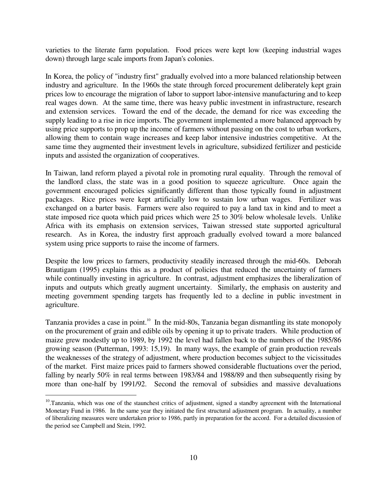varieties to the literate farm population. Food prices were kept low (keeping industrial wages down) through large scale imports from Japan's colonies.

In Korea, the policy of "industry first" gradually evolved into a more balanced relationship between industry and agriculture. In the 1960s the state through forced procurement deliberately kept grain prices low to encourage the migration of labor to support labor-intensive manufacturing and to keep real wages down. At the same time, there was heavy public investment in infrastructure, research and extension services. Toward the end of the decade, the demand for rice was exceeding the supply leading to a rise in rice imports. The government implemented a more balanced approach by using price supports to prop up the income of farmers without passing on the cost to urban workers, allowing them to contain wage increases and keep labor intensive industries competitive. At the same time they augmented their investment levels in agriculture, subsidized fertilizer and pesticide inputs and assisted the organization of cooperatives.

In Taiwan, land reform played a pivotal role in promoting rural equality. Through the removal of the landlord class, the state was in a good position to squeeze agriculture. Once again the government encouraged policies significantly different than those typically found in adjustment packages. Rice prices were kept artificially low to sustain low urban wages. Fertilizer was exchanged on a barter basis. Farmers were also required to pay a land tax in kind and to meet a state imposed rice quota which paid prices which were 25 to 30% below wholesale levels. Unlike Africa with its emphasis on extension services, Taiwan stressed state supported agricultural research. As in Korea, the industry first approach gradually evolved toward a more balanced system using price supports to raise the income of farmers.

Despite the low prices to farmers, productivity steadily increased through the mid-60s. Deborah Brautigam (1995) explains this as a product of policies that reduced the uncertainty of farmers while continually investing in agriculture. In contrast, adjustment emphasizes the liberalization of inputs and outputs which greatly augment uncertainty. Similarly, the emphasis on austerity and meeting government spending targets has frequently led to a decline in public investment in agriculture.

Tanzania provides a case in point.<sup>10</sup> In the mid-80s, Tanzania began dismantling its state monopoly on the procurement of grain and edible oils by opening it up to private traders. While production of maize grew modestly up to 1989, by 1992 the level had fallen back to the numbers of the 1985/86 growing season (Putterman, 1993: 15,19). In many ways, the example of grain production reveals the weaknesses of the strategy of adjustment, where production becomes subject to the vicissitudes of the market. First maize prices paid to farmers showed considerable fluctuations over the period, falling by nearly 50% in real terms between 1983/84 and 1988/89 and then subsequently rising by more than one-half by 1991/92. Second the removal of subsidies and massive devaluations

l

<sup>&</sup>lt;sup>10</sup>.Tanzania, which was one of the staunchest critics of adjustment, signed a standby agreement with the International Monetary Fund in 1986. In the same year they initiated the first structural adjustment program. In actuality, a number of liberalizing measures were undertaken prior to 1986, partly in preparation for the accord. For a detailed discussion of the period see Campbell and Stein, 1992.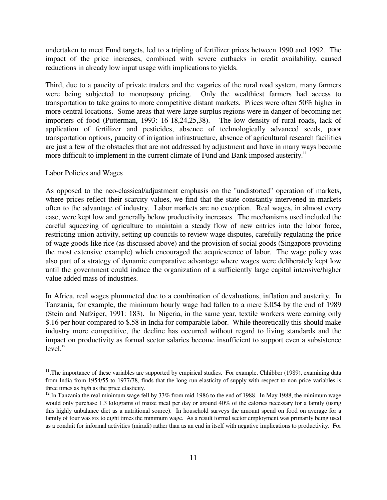undertaken to meet Fund targets, led to a tripling of fertilizer prices between 1990 and 1992. The impact of the price increases, combined with severe cutbacks in credit availability, caused reductions in already low input usage with implications to yields.

Third, due to a paucity of private traders and the vagaries of the rural road system, many farmers were being subjected to monopsony pricing. Only the wealthiest farmers had access to transportation to take grains to more competitive distant markets. Prices were often 50% higher in more central locations. Some areas that were large surplus regions were in danger of becoming net importers of food (Putterman, 1993: 16-18,24,25,38). The low density of rural roads, lack of application of fertilizer and pesticides, absence of technologically advanced seeds, poor transportation options, paucity of irrigation infrastructure, absence of agricultural research facilities are just a few of the obstacles that are not addressed by adjustment and have in many ways become more difficult to implement in the current climate of Fund and Bank imposed austerity.<sup>11</sup>

### Labor Policies and Wages

l

As opposed to the neo-classical/adjustment emphasis on the "undistorted" operation of markets, where prices reflect their scarcity values, we find that the state constantly intervened in markets often to the advantage of industry. Labor markets are no exception. Real wages, in almost every case, were kept low and generally below productivity increases. The mechanisms used included the careful squeezing of agriculture to maintain a steady flow of new entries into the labor force, restricting union activity, setting up councils to review wage disputes, carefully regulating the price of wage goods like rice (as discussed above) and the provision of social goods (Singapore providing the most extensive example) which encouraged the acquiescence of labor. The wage policy was also part of a strategy of dynamic comparative advantage where wages were deliberately kept low until the government could induce the organization of a sufficiently large capital intensive/higher value added mass of industries.

In Africa, real wages plummeted due to a combination of devaluations, inflation and austerity. In Tanzania, for example, the minimum hourly wage had fallen to a mere \$.054 by the end of 1989 (Stein and Nafziger, 1991: 183). In Nigeria, in the same year, textile workers were earning only \$.16 per hour compared to \$.58 in India for comparable labor. While theoretically this should make industry more competitive, the decline has occurred without regard to living standards and the impact on productivity as formal sector salaries become insufficient to support even a subsistence  $level<sup>12</sup>$ 

<sup>&</sup>lt;sup>11</sup>. The importance of these variables are supported by empirical studies. For example, Chhibber (1989), examining data from India from 1954/55 to 1977/78, finds that the long run elasticity of supply with respect to non-price variables is three times as high as the price elasticity.

<sup>&</sup>lt;sup>12</sup>. In Tanzania the real minimum wage fell by 33% from mid-1986 to the end of 1988. In May 1988, the minimum wage would only purchase 1.3 kilograms of maize meal per day or around 40% of the calories necessary for a family (using this highly unbalance diet as a nutritional source). In household surveys the amount spend on food on average for a family of four was six to eight times the minimum wage. As a result formal sector employment was primarily being used as a conduit for informal activities (miradi) rather than as an end in itself with negative implications to productivity. For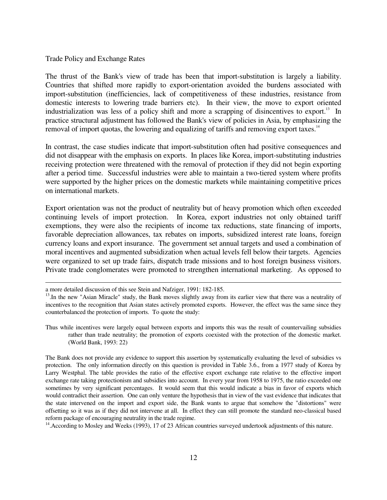Trade Policy and Exchange Rates

The thrust of the Bank's view of trade has been that import-substitution is largely a liability. Countries that shifted more rapidly to export-orientation avoided the burdens associated with import-substitution (inefficiencies, lack of competitiveness of these industries, resistance from domestic interests to lowering trade barriers etc). In their view, the move to export oriented industrialization was less of a policy shift and more a scrapping of disincentives to export.<sup>13</sup> In practice structural adjustment has followed the Bank's view of policies in Asia, by emphasizing the removal of import quotas, the lowering and equalizing of tariffs and removing export taxes.<sup>14</sup>

In contrast, the case studies indicate that import-substitution often had positive consequences and did not disappear with the emphasis on exports. In places like Korea, import-substituting industries receiving protection were threatened with the removal of protection if they did not begin exporting after a period time. Successful industries were able to maintain a two-tiered system where profits were supported by the higher prices on the domestic markets while maintaining competitive prices on international markets.

Export orientation was not the product of neutrality but of heavy promotion which often exceeded continuing levels of import protection. In Korea, export industries not only obtained tariff exemptions, they were also the recipients of income tax reductions, state financing of imports, favorable depreciation allowances, tax rebates on imports, subsidized interest rate loans, foreign currency loans and export insurance. The government set annual targets and used a combination of moral incentives and augmented subsidization when actual levels fell below their targets. Agencies were organized to set up trade fairs, dispatch trade missions and to host foreign business visitors. Private trade conglomerates were promoted to strengthen international marketing. As opposed to

-

The Bank does not provide any evidence to support this assertion by systematically evaluating the level of subsidies vs protection. The only information directly on this question is provided in Table 3.6., from a 1977 study of Korea by Larry Westphal. The table provides the ratio of the effective export exchange rate relative to the effective import exchange rate taking protectionism and subsidies into account. In every year from 1958 to 1975, the ratio exceeded one sometimes by very significant percentages. It would seem that this would indicate a bias in favor of exports which would contradict their assertion. One can only venture the hypothesis that in view of the vast evidence that indicates that the state intervened on the import and export side, the Bank wants to argue that somehow the "distortions" were offsetting so it was as if they did not intervene at all. In effect they can still promote the standard neo-classical based reform package of encouraging neutrality in the trade regime.

 $14$ . According to Mosley and Weeks (1993), 17 of 23 African countries surveyed undertook adjustments of this nature.

a more detailed discussion of this see Stein and Nafziger, 1991: 182-185.

<sup>&</sup>lt;sup>13</sup>.In the new "Asian Miracle" study, the Bank moves slightly away from its earlier view that there was a neutrality of incentives to the recognition that Asian states actively promoted exports. However, the effect was the same since they counterbalanced the protection of imports. To quote the study:

Thus while incentives were largely equal between exports and imports this was the result of countervailing subsidies rather than trade neutrality; the promotion of exports coexisted with the protection of the domestic market. (World Bank, 1993: 22)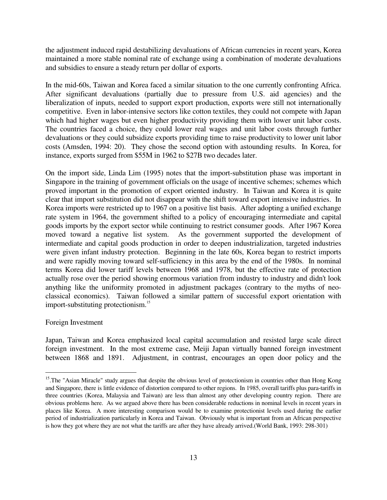the adjustment induced rapid destabilizing devaluations of African currencies in recent years, Korea maintained a more stable nominal rate of exchange using a combination of moderate devaluations and subsidies to ensure a steady return per dollar of exports.

In the mid-60s, Taiwan and Korea faced a similar situation to the one currently confronting Africa. After significant devaluations (partially due to pressure from U.S. aid agencies) and the liberalization of inputs, needed to support export production, exports were still not internationally competitive. Even in labor-intensive sectors like cotton textiles, they could not compete with Japan which had higher wages but even higher productivity providing them with lower unit labor costs. The countries faced a choice, they could lower real wages and unit labor costs through further devaluations or they could subsidize exports providing time to raise productivity to lower unit labor costs (Amsden, 1994: 20). They chose the second option with astounding results. In Korea, for instance, exports surged from \$55M in 1962 to \$27B two decades later.

On the import side, Linda Lim (1995) notes that the import-substitution phase was important in Singapore in the training of government officials on the usage of incentive schemes; schemes which proved important in the promotion of export oriented industry. In Taiwan and Korea it is quite clear that import substitution did not disappear with the shift toward export intensive industries. In Korea imports were restricted up to 1967 on a positive list basis. After adopting a unified exchange rate system in 1964, the government shifted to a policy of encouraging intermediate and capital goods imports by the export sector while continuing to restrict consumer goods. After 1967 Korea moved toward a negative list system. As the government supported the development of intermediate and capital goods production in order to deepen industrialization, targeted industries were given infant industry protection. Beginning in the late 60s, Korea began to restrict imports and were rapidly moving toward self-sufficiency in this area by the end of the 1980s. In nominal terms Korea did lower tariff levels between 1968 and 1978, but the effective rate of protection actually rose over the period showing enormous variation from industry to industry and didn't look anything like the uniformity promoted in adjustment packages (contrary to the myths of neoclassical economics). Taiwan followed a similar pattern of successful export orientation with import-substituting protectionism.<sup>15</sup>

## Foreign Investment

l

Japan, Taiwan and Korea emphasized local capital accumulation and resisted large scale direct foreign investment. In the most extreme case, Meiji Japan virtually banned foreign investment between 1868 and 1891. Adjustment, in contrast, encourages an open door policy and the

<sup>&</sup>lt;sup>15</sup>.The "Asian Miracle" study argues that despite the obvious level of protectionism in countries other than Hong Kong and Singapore, there is little evidence of distortion compared to other regions. In 1985, overall tariffs plus para-tariffs in three countries (Korea, Malaysia and Taiwan) are less than almost any other developing country region. There are obvious problems here. As we argued above there has been considerable reductions in nominal levels in recent years in places like Korea. A more interesting comparison would be to examine protectionist levels used during the earlier period of industrialization particularly in Korea and Taiwan. Obviously what is important from an African perspective is how they got where they are not what the tariffs are after they have already arrived.(World Bank, 1993: 298-301)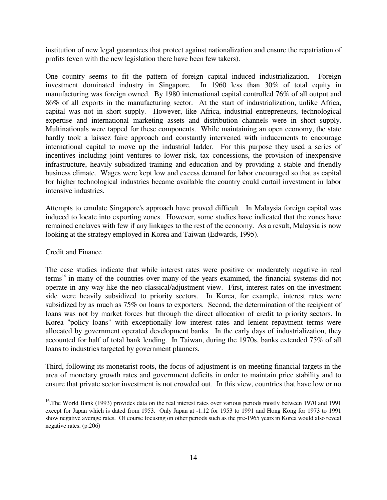institution of new legal guarantees that protect against nationalization and ensure the repatriation of profits (even with the new legislation there have been few takers).

One country seems to fit the pattern of foreign capital induced industrialization. Foreign investment dominated industry in Singapore. In 1960 less than 30% of total equity in manufacturing was foreign owned. By 1980 international capital controlled 76% of all output and 86% of all exports in the manufacturing sector. At the start of industrialization, unlike Africa, capital was not in short supply. However, like Africa, industrial entrepreneurs, technological expertise and international marketing assets and distribution channels were in short supply. Multinationals were tapped for these components. While maintaining an open economy, the state hardly took a laissez faire approach and constantly intervened with inducements to encourage international capital to move up the industrial ladder. For this purpose they used a series of incentives including joint ventures to lower risk, tax concessions, the provision of inexpensive infrastructure, heavily subsidized training and education and by providing a stable and friendly business climate. Wages were kept low and excess demand for labor encouraged so that as capital for higher technological industries became available the country could curtail investment in labor intensive industries.

Attempts to emulate Singapore's approach have proved difficult. In Malaysia foreign capital was induced to locate into exporting zones. However, some studies have indicated that the zones have remained enclaves with few if any linkages to the rest of the economy. As a result, Malaysia is now looking at the strategy employed in Korea and Taiwan (Edwards, 1995).

## Credit and Finance

l

The case studies indicate that while interest rates were positive or moderately negative in real terms<sup>16</sup> in many of the countries over many of the years examined, the financial systems did not operate in any way like the neo-classical/adjustment view. First, interest rates on the investment side were heavily subsidized to priority sectors. In Korea, for example, interest rates were subsidized by as much as 75% on loans to exporters. Second, the determination of the recipient of loans was not by market forces but through the direct allocation of credit to priority sectors. In Korea "policy loans" with exceptionally low interest rates and lenient repayment terms were allocated by government operated development banks. In the early days of industrialization, they accounted for half of total bank lending. In Taiwan, during the 1970s, banks extended 75% of all loans to industries targeted by government planners.

Third, following its monetarist roots, the focus of adjustment is on meeting financial targets in the area of monetary growth rates and government deficits in order to maintain price stability and to ensure that private sector investment is not crowded out. In this view, countries that have low or no

<sup>&</sup>lt;sup>16</sup>. The World Bank (1993) provides data on the real interest rates over various periods mostly between 1970 and 1991 except for Japan which is dated from 1953. Only Japan at -1.12 for 1953 to 1991 and Hong Kong for 1973 to 1991 show negative average rates. Of course focusing on other periods such as the pre-1965 years in Korea would also reveal negative rates. (p.206)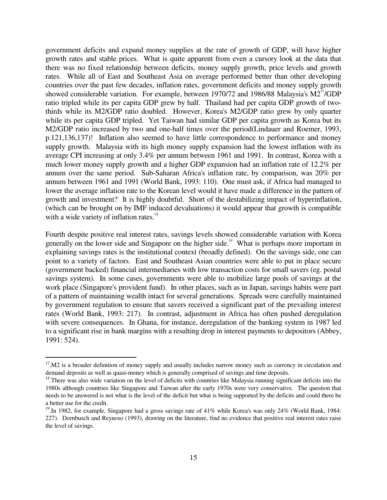government deficits and expand money supplies at the rate of growth of GDP, will have higher growth rates and stable prices. What is quite apparent from even a cursory look at the data that there was no fixed relationship between deficits, money supply growth, price levels and growth rates. While all of East and Southeast Asia on average performed better than other developing countries over the past few decades, inflation rates, government deficits and money supply growth showed considerable variation. For example, between 1970/72 and 1986/88 Malaysia's  $M2^{17}/GDP$ ratio tripled while its per capita GDP grew by half. Thailand had per capita GDP growth of twothirds while its M2/GDP ratio doubled. However, Korea's M2/GDP ratio grew by only quarter while its per capita GDP tripled. Yet Taiwan had similar GDP per capita growth as Korea but its M2/GDP ratio increased by two and one-half times over the period(Lindauer and Roemer, 1993, p.121,136,137)! Inflation also seemed to have little correspondence to performance and money supply growth. Malaysia with its high money supply expansion had the lowest inflation with its average CPI increasing at only 3.4% per annum between 1961 and 1991. In contrast, Korea with a much lower money supply growth and a higher GDP expansion had an inflation rate of 12.2% per annum over the same period. Sub-Saharan Africa's inflation rate, by comparison, was 20% per annum between 1961 and 1991 (World Bank, 1993: 110). One must ask, if Africa had managed to lower the average inflation rate to the Korean level would it have made a difference in the pattern of growth and investment? It is highly doubtful. Short of the destabilizing impact of hyperinflation, (which can be brought on by IMF induced devaluations) it would appear that growth is compatible with a wide variety of inflation rates.<sup>18</sup>

Fourth despite positive real interest rates, savings levels showed considerable variation with Korea generally on the lower side and Singapore on the higher side.<sup>19</sup> What is perhaps more important in explaining savings rates is the institutional context (broadly defined). On the savings side, one can point to a variety of factors. East and Southeast Asian countries were able to put in place secure (government backed) financial intermediaries with low transaction costs for small savers (eg. postal savings system). In some cases, governments were able to mobilize large pools of savings at the work place (Singapore's provident fund). In other places, such as in Japan, savings habits were part of a pattern of maintaining wealth intact for several generations. Spreads were carefully maintained by government regulation to ensure that savers received a significant part of the prevailing interest rates (World Bank, 1993: 217). In contrast, adjustment in Africa has often pushed deregulation with severe consequences. In Ghana, for instance, deregulation of the banking system in 1987 led to a significant rise in bank margins with a resulting drop in interest payments to depositors (Abbey, 1991: 524).

l

<sup>&</sup>lt;sup>17</sup>.M2 is a broader definition of money supply and usually includes narrow money such as currency in circulation and demand deposits as well as quasi-money which is generally comprised of savings and time deposits.

<sup>&</sup>lt;sup>18</sup>. There was also wide variation on the level of deficits with countries like Malaysia running significant deficits into the 1980s although countries like Singapore and Taiwan after the early 1970s were very conservative. The question that needs to be answered is not what is the level of the deficit but what is being supported by the deficits and could there be a better use for the credit.

<sup>&</sup>lt;sup>19</sup>.In 1982, for example, Singapore had a gross savings rate of 41% while Korea's was only 24% (World Bank, 1984: 227). Dornbusch and Reynoso (1993), drawing on the literature, find no evidence that positive real interest rates raise the level of savings.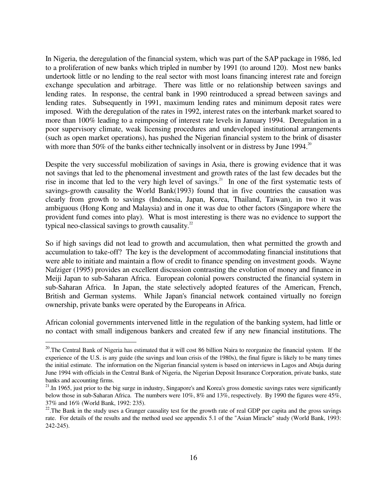In Nigeria, the deregulation of the financial system, which was part of the SAP package in 1986, led to a proliferation of new banks which tripled in number by 1991 (to around 120). Most new banks undertook little or no lending to the real sector with most loans financing interest rate and foreign exchange speculation and arbitrage. There was little or no relationship between savings and lending rates. In response, the central bank in 1990 reintroduced a spread between savings and lending rates. Subsequently in 1991, maximum lending rates and minimum deposit rates were imposed. With the deregulation of the rates in 1992, interest rates on the interbank market soared to more than 100% leading to a reimposing of interest rate levels in January 1994. Deregulation in a poor supervisory climate, weak licensing procedures and undeveloped institutional arrangements (such as open market operations), has pushed the Nigerian financial system to the brink of disaster with more than 50% of the banks either technically insolvent or in distress by June 1994.<sup>20</sup>

Despite the very successful mobilization of savings in Asia, there is growing evidence that it was not savings that led to the phenomenal investment and growth rates of the last few decades but the rise in income that led to the very high level of savings.<sup>21</sup> In one of the first systematic tests of savings-growth causality the World Bank(1993) found that in five countries the causation was clearly from growth to savings (Indonesia, Japan, Korea, Thailand, Taiwan), in two it was ambiguous (Hong Kong and Malaysia) and in one it was due to other factors (Singapore where the provident fund comes into play). What is most interesting is there was no evidence to support the typical neo-classical savings to growth causality. $2^2$ 

So if high savings did not lead to growth and accumulation, then what permitted the growth and accumulation to take-off? The key is the development of accommodating financial institutions that were able to initiate and maintain a flow of credit to finance spending on investment goods. Wayne Nafziger (1995) provides an excellent discussion contrasting the evolution of money and finance in Meiji Japan to sub-Saharan Africa. European colonial powers constructed the financial system in sub-Saharan Africa. In Japan, the state selectively adopted features of the American, French, British and German systems. While Japan's financial network contained virtually no foreign ownership, private banks were operated by the Europeans in Africa.

African colonial governments intervened little in the regulation of the banking system, had little or no contact with small indigenous bankers and created few if any new financial institutions. The

 $\overline{a}$ 

<sup>&</sup>lt;sup>20</sup>.The Central Bank of Nigeria has estimated that it will cost 86 billion Naira to reorganize the financial system. If the experience of the U.S. is any guide (the savings and loan crisis of the 1980s), the final figure is likely to be many times the initial estimate. The information on the Nigerian financial system is based on interviews in Lagos and Abuja during June 1994 with officials in the Central Bank of Nigeria, the Nigerian Deposit Insurance Corporation, private banks, state banks and accounting firms.

 $2<sup>1</sup>$ . In 1965, just prior to the big surge in industry, Singapore's and Korea's gross domestic savings rates were significantly below those in sub-Saharan Africa. The numbers were 10%, 8% and 13%, respectively. By 1990 the figures were 45%, 37% and 16% (World Bank, 1992: 235).

<sup>&</sup>lt;sup>22</sup>. The Bank in the study uses a Granger causality test for the growth rate of real GDP per capita and the gross savings rate. For details of the results and the method used see appendix 5.1 of the "Asian Miracle" study (World Bank, 1993: 242-245).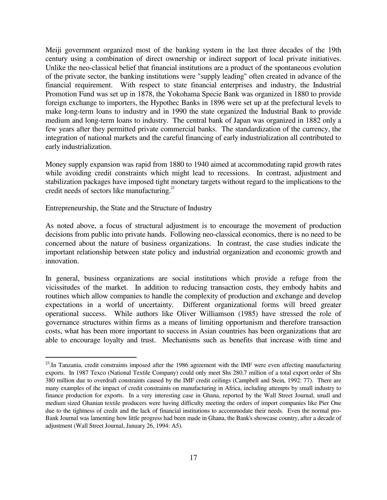Meiji government organized most of the banking system in the last three decades of the 19th century using a combination of direct ownership or indirect support of local private initiatives. Unlike the neo-classical belief that financial institutions are a product of the spontaneous evolution of the private sector, the banking institutions were "supply leading" often created in advance of the financial requirement. With respect to state financial enterprises and industry, the Industrial Promotion Fund was set up in 1878, the Yokohama Specie Bank was organized in 1880 to provide foreign exchange to importers, the Hypothec Banks in 1896 were set up at the prefectural levels to make long-term loans to industry and in 1990 the state organized the Industrial Bank to provide medium and long-term loans to industry. The central bank of Japan was organized in 1882 only a few years after they permitted private commercial banks. The standardization of the currency, the integration of national markets and the careful financing of early industrialization all contributed to early industrialization.

Money supply expansion was rapid from 1880 to 1940 aimed at accommodating rapid growth rates while avoiding credit constraints which might lead to recessions. In contrast, adjustment and stabilization packages have imposed tight monetary targets without regard to the implications to the credit needs of sectors like manufacturing.<sup>23</sup>

Entrepreneurship, the State and the Structure of Industry

 $\overline{a}$ 

As noted above, a focus of structural adjustment is to encourage the movement of production decisions from public into private hands. Following neo-classical economics, there is no need to be concerned about the nature of business organizations. In contrast, the case studies indicate the important relationship between state policy and industrial organization and economic growth and innovation.

In general, business organizations are social institutions which provide a refuge from the vicissitudes of the market. In addition to reducing transaction costs, they embody habits and routines which allow companies to handle the complexity of production and exchange and develop expectations in a world of uncertainty. Different organizational forms will breed greater operational success. While authors like Oliver Williamson (1985) have stressed the role of governance structures within firms as a means of limiting opportunism and therefore transaction costs, what has been more important to success in Asian countries has been organizations that are able to encourage loyalty and trust. Mechanisms such as benefits that increase with time and

<sup>&</sup>lt;sup>23</sup>.In Tanzania, credit constraints imposed after the 1986 agreement with the IMF were even affecting manufacturing exports. In 1987 Texco (National Textile Company) could only meet Shs 280.7 million of a total export order of Shs 380 million due to overdraft constraints caused by the IMF credit ceilings (Campbell and Stein, 1992: 77). There are many examples of the impact of credit constraints on manufacturing in Africa, including attempts by small industry to finance production for exports. In a very interesting case in Ghana, reported by the Wall Street Journal, small and medium sized Ghanian textile producers were having difficulty meeting the orders of import companies like Pier One due to the tightness of credit and the lack of financial institutions to accommodate their needs. Even the normal pro-Bank Journal was lamenting how little progress had been made in Ghana, the Bank's showcase country, after a decade of adjustment (Wall Street Journal, January 26, 1994: A5).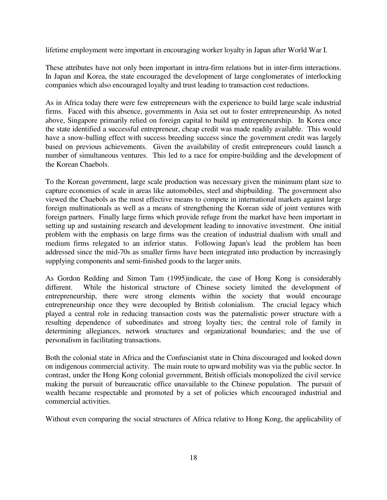lifetime employment were important in encouraging worker loyalty in Japan after World War I.

These attributes have not only been important in intra-firm relations but in inter-firm interactions. In Japan and Korea, the state encouraged the development of large conglomerates of interlocking companies which also encouraged loyalty and trust leading to transaction cost reductions.

As in Africa today there were few entrepreneurs with the experience to build large scale industrial firms. Faced with this absence, governments in Asia set out to foster entrepreneurship. As noted above, Singapore primarily relied on foreign capital to build up entrepreneurship. In Korea once the state identified a successful entrepreneur, cheap credit was made readily available. This would have a snow-balling effect with success breeding success since the government credit was largely based on previous achievements. Given the availability of credit entrepreneurs could launch a number of simultaneous ventures. This led to a race for empire-building and the development of the Korean Chaebols.

To the Korean government, large scale production was necessary given the minimum plant size to capture economies of scale in areas like automobiles, steel and shipbuilding. The government also viewed the Chaebols as the most effective means to compete in international markets against large foreign multinationals as well as a means of strengthening the Korean side of joint ventures with foreign partners. Finally large firms which provide refuge from the market have been important in setting up and sustaining research and development leading to innovative investment. One initial problem with the emphasis on large firms was the creation of industrial dualism with small and medium firms relegated to an inferior status. Following Japan's lead the problem has been addressed since the mid-70s as smaller firms have been integrated into production by increasingly supplying components and semi-finished goods to the larger units.

As Gordon Redding and Simon Tam (1995)indicate, the case of Hong Kong is considerably different. While the historical structure of Chinese society limited the development of entrepreneurship, there were strong elements within the society that would encourage entrepreneurship once they were decoupled by British colonialism. The crucial legacy which played a central role in reducing transaction costs was the paternalistic power structure with a resulting dependence of subordinates and strong loyalty ties; the central role of family in determining allegiances, network structures and organizational boundaries; and the use of personalism in facilitating transactions.

Both the colonial state in Africa and the Confuscianist state in China discouraged and looked down on indigenous commercial activity. The main route to upward mobility was via the public sector. In contrast, under the Hong Kong colonial government, British officials monopolized the civil service making the pursuit of bureaucratic office unavailable to the Chinese population. The pursuit of wealth became respectable and promoted by a set of policies which encouraged industrial and commercial activities.

Without even comparing the social structures of Africa relative to Hong Kong, the applicability of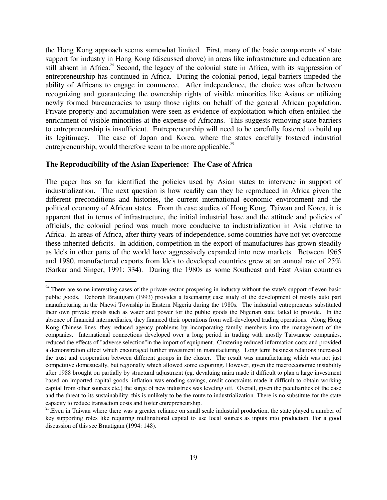the Hong Kong approach seems somewhat limited. First, many of the basic components of state support for industry in Hong Kong (discussed above) in areas like infrastructure and education are still absent in Africa.<sup>24</sup> Second, the legacy of the colonial state in Africa, with its suppression of entrepreneurship has continued in Africa. During the colonial period, legal barriers impeded the ability of Africans to engage in commerce. After independence, the choice was often between recognizing and guaranteeing the ownership rights of visible minorities like Asians or utilizing newly formed bureaucracies to usurp those rights on behalf of the general African population. Private property and accumulation were seen as evidence of exploitation which often entailed the enrichment of visible minorities at the expense of Africans. This suggests removing state barriers to entrepreneurship is insufficient. Entrepreneurship will need to be carefully fostered to build up its legitimacy. The case of Japan and Korea, where the states carefully fostered industrial entrepreneurship, would therefore seem to be more applicable.<sup>25</sup>

## **The Reproducibility of the Asian Experience: The Case of Africa**

 $\overline{a}$ 

The paper has so far identified the policies used by Asian states to intervene in support of industrialization. The next question is how readily can they be reproduced in Africa given the different preconditions and histories, the current international economic environment and the political economy of African states. From th case studies of Hong Kong, Taiwan and Korea, it is apparent that in terms of infrastructure, the initial industrial base and the attitude and policies of officials, the colonial period was much more conducive to industrialization in Asia relative to Africa. In areas of Africa, after thirty years of independence, some countries have not yet overcome these inherited deficits. In addition, competition in the export of manufactures has grown steadily as ldc's in other parts of the world have aggressively expanded into new markets. Between 1965 and 1980, manufactured exports from ldc's to developed countries grew at an annual rate of 25% (Sarkar and Singer, 1991: 334). During the 1980s as some Southeast and East Asian countries

 $24$ . There are some interesting cases of the private sector prospering in industry without the state's support of even basic public goods. Deborah Brautigam (1993) provides a fascinating case study of the development of mostly auto part manufacturing in the Nnewi Township in Eastern Nigeria during the 1980s. The industrial entrepreneurs substituted their own private goods such as water and power for the public goods the Nigerian state failed to provide. In the absence of financial intermediaries, they financed their operations from well-developed trading operations. Along Hong Kong Chinese lines, they reduced agency problems by incorporating family members into the management of the companies. International connections developed over a long period in trading with mostly Taiwanese companies, reduced the effects of "adverse selection"in the import of equipment. Clustering reduced information costs and provided a demonstration effect which encouraged further investment in manufacturing. Long term business relations increased the trust and cooperation between different groups in the cluster. The result was manufacturing which was not just competitive domestically, but regionally which allowed some exporting. However, given the macroeconomic instability after 1988 brought on partially by structural adjustment (eg. devaluing naira made it difficult to plan a large investment based on imported capital goods, inflation was eroding savings, credit constraints made it difficult to obtain working capital from other sources etc.) the surge of new industries was leveling off. Overall, given the peculiarities of the case and the threat to its sustainability, this is unlikely to be the route to industrialization. There is no substitute for the state capacity to reduce transaction costs and foster entrepreneurship.

 $25$ . Even in Taiwan where there was a greater reliance on small scale industrial production, the state played a number of key supporting roles like requiring multinational capital to use local sources as inputs into production. For a good discussion of this see Brautigam (1994: 148).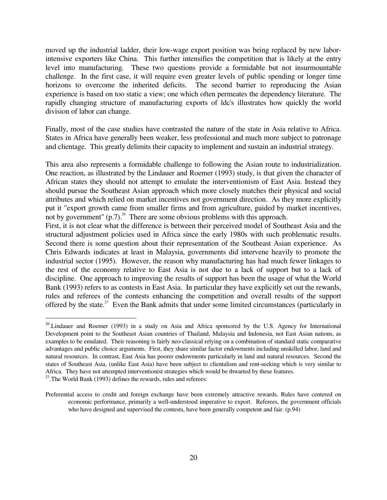moved up the industrial ladder, their low-wage export position was being replaced by new laborintensive exporters like China. This further intensifies the competition that is likely at the entry level into manufacturing. These two questions provide a formidable but not insurmountable challenge. In the first case, it will require even greater levels of public spending or longer time horizons to overcome the inherited deficits. The second barrier to reproducing the Asian experience is based on too static a view; one which often permeates the dependency literature. The rapidly changing structure of manufacturing exports of ldc's illustrates how quickly the world division of labor can change.

Finally, most of the case studies have contrasted the nature of the state in Asia relative to Africa. States in Africa have generally been weaker, less professional and much more subject to patronage and clientage. This greatly delimits their capacity to implement and sustain an industrial strategy.

This area also represents a formidable challenge to following the Asian route to industrialization. One reaction, as illustrated by the Lindauer and Roemer (1993) study, is that given the character of African states they should not attempt to emulate the interventionism of East Asia. Instead they should pursue the Southeast Asian approach which more closely matches their physical and social attributes and which relied on market incentives not government direction. As they more explicitly put it "export growth came from smaller firms and from agriculture, guided by market incentives, not by government"  $(p.7)^{26}$  There are some obvious problems with this approach.

First, it is not clear what the difference is between their perceived model of Southeast Asia and the structural adjustment policies used in Africa since the early 1980s with such problematic results. Second there is some question about their representation of the Southeast Asian experience. As Chris Edwards indicates at least in Malaysia, governments did intervene heavily to promote the industrial sector (1995). However, the reason why manufacturing has had much fewer linkages to the rest of the economy relative to East Asia is not due to a lack of support but to a lack of discipline. One approach to improving the results of support has been the usage of what the World Bank (1993) refers to as contests in East Asia. In particular they have explicitly set out the rewards, rules and referees of the contests enhancing the competition and overall results of the support offered by the state.<sup>27</sup> Even the Bank admits that under some limited circumstances (particularly in

 $\overline{a}$ 

<sup>&</sup>lt;sup>26</sup>. Lindauer and Roemer (1993) in a study on Asia and Africa sponsored by the U.S. Agency for International Development point to the Southeast Asian countries of Thailand, Malaysia and Indonesia, not East Asian nations, as examples to be emulated. Their reasoning is fairly neo-classical relying on a combination of standard static comparative advantages and public choice arguments. First, they share similar factor endowments including unskilled labor, land and natural resources. In contrast, East Asia has poorer endowments particularly in land and natural resources. Second the states of Southeast Asia, (unlike East Asia) have been subject to clientalism and rent-seeking which is very similar to Africa. They have not attempted interventionist strategies which would be thwarted by these features.

 $27$ . The World Bank (1993) defines the rewards, rules and referees:

Preferential access to credit and foreign exchange have been extremely attractive rewards. Rules have centered on economic performance, primarily a well-understood imperative to export. Referees, the government officials who have designed and supervised the contests, have been generally competent and fair. (p.94)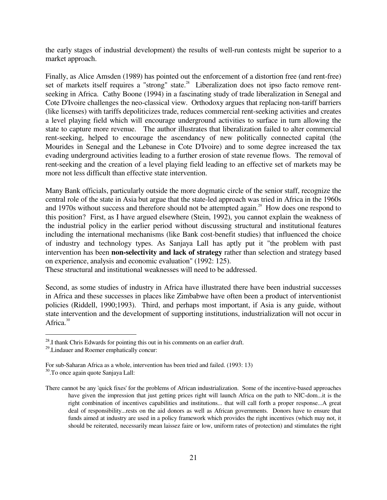the early stages of industrial development) the results of well-run contests might be superior to a market approach.

Finally, as Alice Amsden (1989) has pointed out the enforcement of a distortion free (and rent-free) set of markets itself requires a "strong" state.<sup>28</sup> Liberalization does not ipso facto remove rentseeking in Africa. Cathy Boone (1994) in a fascinating study of trade liberalization in Senegal and Cote D'Ivoire challenges the neo-classical view. Orthodoxy argues that replacing non-tariff barriers (like licenses) with tariffs depoliticizes trade, reduces commercial rent-seeking activities and creates a level playing field which will encourage underground activities to surface in turn allowing the state to capture more revenue. The author illustrates that liberalization failed to alter commercial rent-seeking, helped to encourage the ascendancy of new politically connected capital (the Mourides in Senegal and the Lebanese in Cote D'Ivoire) and to some degree increased the tax evading underground activities leading to a further erosion of state revenue flows. The removal of rent-seeking and the creation of a level playing field leading to an effective set of markets may be more not less difficult than effective state intervention.

Many Bank officials, particularly outside the more dogmatic circle of the senior staff, recognize the central role of the state in Asia but argue that the state-led approach was tried in Africa in the 1960s and 1970s without success and therefore should not be attempted again.<sup>29</sup> How does one respond to this position? First, as I have argued elsewhere (Stein, 1992), you cannot explain the weakness of the industrial policy in the earlier period without discussing structural and institutional features including the international mechanisms (like Bank cost-benefit studies) that influenced the choice of industry and technology types. As Sanjaya Lall has aptly put it "the problem with past intervention has been **non-selectivity and lack of strategy** rather than selection and strategy based on experience, analysis and economic evaluation" (1992: 125).

These structural and institutional weaknesses will need to be addressed.

Second, as some studies of industry in Africa have illustrated there have been industrial successes in Africa and these successes in places like Zimbabwe have often been a product of interventionist policies (Riddell, 1990;1993). Third, and perhaps most important, if Asia is any guide, without state intervention and the development of supporting institutions, industrialization will not occur in Africa.<sup>30</sup>

 $\overline{a}$ 

<sup>&</sup>lt;sup>28</sup>.I thank Chris Edwards for pointing this out in his comments on an earlier draft.

<sup>29</sup>.Lindauer and Roemer emphatically concur:

For sub-Saharan Africa as a whole, intervention has been tried and failed. (1993: 13) <sup>30</sup>. To once again quote Sanjaya Lall:

There cannot be any 'quick fixes' for the problems of African industrialization. Some of the incentive-based approaches have given the impression that just getting prices right will launch Africa on the path to NIC-dom...it is the right combination of incentives capabilities and institutions... that will call forth a proper response...A great deal of responsibility...rests on the aid donors as well as African governments. Donors have to ensure that funds aimed at industry are used in a policy framework which provides the right incentives (which may not, it should be reiterated, necessarily mean laissez faire or low, uniform rates of protection) and stimulates the right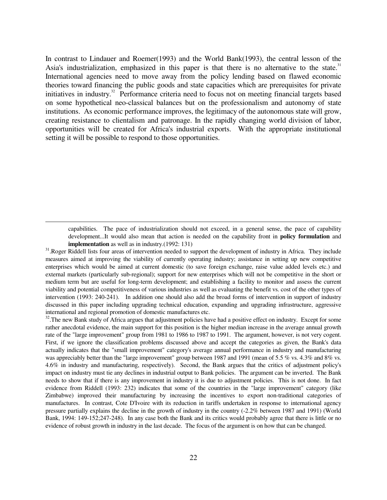In contrast to Lindauer and Roemer(1993) and the World Bank(1993), the central lesson of the Asia's industrialization, emphasized in this paper is that there is no alternative to the state. $31$ International agencies need to move away from the policy lending based on flawed economic theories toward financing the public goods and state capacities which are prerequisites for private initiatives in industry.<sup>32</sup> Performance criteria need to focus not on meeting financial targets based on some hypothetical neo-classical balances but on the professionalism and autonomy of state institutions. As economic performance improves, the legitimacy of the autonomous state will grow, creating resistance to clientalism and patronage. In the rapidly changing world division of labor, opportunities will be created for Africa's industrial exports. With the appropriate institutional setting it will be possible to respond to those opportunities.

capabilities. The pace of industrialization should not exceed, in a general sense, the pace of capability development...It would also mean that action is needed on the capability front in **policy formulation** and **implementation** as well as in industry.(1992: 131)

<sup>31</sup>. Roger Riddell lists four areas of intervention needed to support the development of industry in Africa. They include measures aimed at improving the viability of currently operating industry; assistance in setting up new competitive enterprises which would be aimed at current domestic (to save foreign exchange, raise value added levels etc.) and external markets (particularly sub-regional); support for new enterprises which will not be competitive in the short or medium term but are useful for long-term development; and establishing a facility to monitor and assess the current viability and potential competitiveness of various industries as well as evaluating the benefit vs. cost of the other types of intervention (1993: 240-241). In addition one should also add the broad forms of intervention in support of industry discussed in this paper including upgrading technical education, expanding and upgrading infrastructure, aggressive international and regional promotion of domestic manufactures etc.

l

<sup>32</sup>. The new Bank study of Africa argues that adjustment policies have had a positive effect on industry. Except for some rather anecdotal evidence, the main support for this position is the higher median increase in the average annual growth rate of the "large improvement" group from 1981 to 1986 to 1987 to 1991. The argument, however, is not very cogent. First, if we ignore the classification problems discussed above and accept the categories as given, the Bank's data actually indicates that the "small improvement" category's average annual performance in industry and manufacturing was appreciably better than the "large improvement" group between 1987 and 1991 (mean of 5.5 % vs. 4.3% and 8% vs. 4.6% in industry and manufacturing, respectively). Second, the Bank argues that the critics of adjustment policy's impact on industry must tie any declines in industrial output to Bank policies. The argument can be inverted. The Bank needs to show that if there is any improvement in industry it is due to adjustment policies. This is not done. In fact evidence from Riddell (1993: 232) indicates that some of the countries in the "large improvement" category (like Zimbabwe) improved their manufacturing by increasing the incentives to export non-traditional categories of manufactures. In contrast, Cote D'Ivoire with its reduction in tariffs undertaken in response to international agency pressure partially explains the decline in the growth of industry in the country (-2.2% between 1987 and 1991) (World Bank, 1994: 149-152;247-248). In any case both the Bank and its critics would probably agree that there is little or no evidence of robust growth in industry in the last decade. The focus of the argument is on how that can be changed.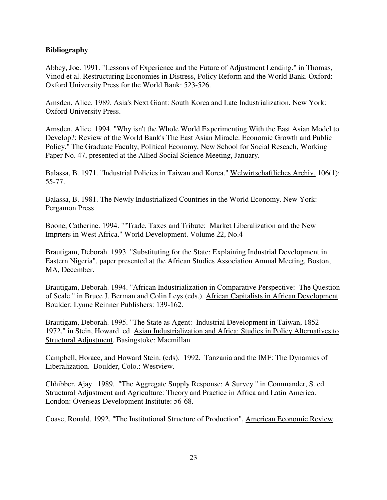# **Bibliography**

Abbey, Joe. 1991. "Lessons of Experience and the Future of Adjustment Lending." in Thomas, Vinod et al. Restructuring Economies in Distress, Policy Reform and the World Bank. Oxford: Oxford University Press for the World Bank: 523-526.

Amsden, Alice. 1989. Asia's Next Giant: South Korea and Late Industrialization. New York: Oxford University Press.

Amsden, Alice. 1994. "Why isn't the Whole World Experimenting With the East Asian Model to Develop?: Review of the World Bank's The East Asian Miracle: Economic Growth and Public Policy." The Graduate Faculty, Political Economy, New School for Social Reseach, Working Paper No. 47, presented at the Allied Social Science Meeting, January.

Balassa, B. 1971. "Industrial Policies in Taiwan and Korea." Welwirtschaftliches Archiv. 106(1): 55-77.

Balassa, B. 1981. The Newly Industrialized Countries in the World Economy. New York: Pergamon Press.

Boone, Catherine. 1994. ""Trade, Taxes and Tribute: Market Liberalization and the New Imprters in West Africa." World Development. Volume 22, No.4

Brautigam, Deborah. 1993. "Substituting for the State: Explaining Industrial Development in Eastern Nigeria". paper presented at the African Studies Association Annual Meeting, Boston, MA, December.

Brautigam, Deborah. 1994. "African Industrialization in Comparative Perspective: The Question of Scale." in Bruce J. Berman and Colin Leys (eds.). African Capitalists in African Development. Boulder: Lynne Reinner Publishers: 139-162.

Brautigam, Deborah. 1995. "The State as Agent: Industrial Development in Taiwan, 1852- 1972." in Stein, Howard. ed. Asian Industrialization and Africa: Studies in Policy Alternatives to Structural Adjustment. Basingstoke: Macmillan

Campbell, Horace, and Howard Stein. (eds). 1992. Tanzania and the IMF: The Dynamics of Liberalization. Boulder, Colo.: Westview.

Chhibber, Ajay. 1989. "The Aggregate Supply Response: A Survey." in Commander, S. ed. Structural Adjustment and Agriculture: Theory and Practice in Africa and Latin America. London: Overseas Development Institute: 56-68.

Coase, Ronald. 1992. "The Institutional Structure of Production", American Economic Review.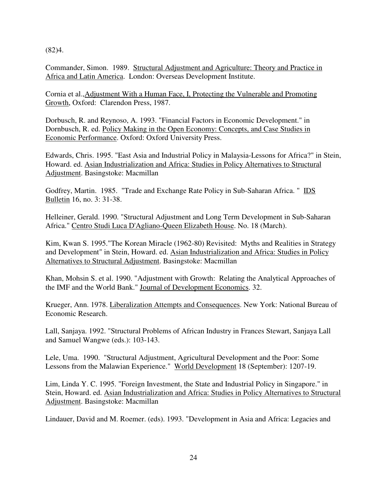(82)4.

Commander, Simon. 1989. Structural Adjustment and Agriculture: Theory and Practice in Africa and Latin America. London: Overseas Development Institute.

Cornia et al.,Adjustment With a Human Face, I, Protecting the Vulnerable and Promoting Growth, Oxford: Clarendon Press, 1987.

Dorbusch, R. and Reynoso, A. 1993. "Financial Factors in Economic Development." in Dornbusch, R. ed. Policy Making in the Open Economy: Concepts, and Case Studies in Economic Performance. Oxford: Oxford University Press.

Edwards, Chris. 1995. "East Asia and Industrial Policy in Malaysia-Lessons for Africa?" in Stein, Howard. ed. Asian Industrialization and Africa: Studies in Policy Alternatives to Structural Adjustment. Basingstoke: Macmillan

Godfrey, Martin. 1985. "Trade and Exchange Rate Policy in Sub-Saharan Africa." IDS Bulletin 16, no. 3: 31-38.

Helleiner, Gerald. 1990. "Structural Adjustment and Long Term Development in Sub-Saharan Africa." Centro Studi Luca D'Agliano-Queen Elizabeth House. No. 18 (March).

Kim, Kwan S. 1995."The Korean Miracle (1962-80) Revisited: Myths and Realities in Strategy and Development" in Stein, Howard. ed. Asian Industrialization and Africa: Studies in Policy Alternatives to Structural Adjustment. Basingstoke: Macmillan

Khan, Mohsin S. et al. 1990. "Adjustment with Growth: Relating the Analytical Approaches of the IMF and the World Bank." Journal of Development Economics. 32.

Krueger, Ann. 1978. Liberalization Attempts and Consequences. New York: National Bureau of Economic Research.

Lall, Sanjaya. 1992. "Structural Problems of African Industry in Frances Stewart, Sanjaya Lall and Samuel Wangwe (eds.): 103-143.

Lele, Uma. 1990. "Structural Adjustment, Agricultural Development and the Poor: Some Lessons from the Malawian Experience." World Development 18 (September): 1207-19.

Lim, Linda Y. C. 1995. "Foreign Investment, the State and Industrial Policy in Singapore." in Stein, Howard. ed. Asian Industrialization and Africa: Studies in Policy Alternatives to Structural Adjustment. Basingstoke: Macmillan

Lindauer, David and M. Roemer. (eds). 1993. "Development in Asia and Africa: Legacies and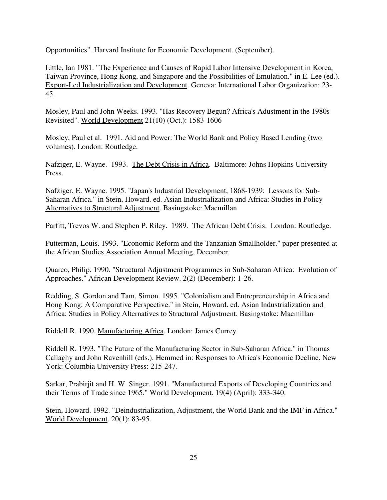Opportunities". Harvard Institute for Economic Development. (September).

Little, Ian 1981. "The Experience and Causes of Rapid Labor Intensive Development in Korea, Taiwan Province, Hong Kong, and Singapore and the Possibilities of Emulation." in E. Lee (ed.). Export-Led Industrialization and Development. Geneva: International Labor Organization: 23- 45.

Mosley, Paul and John Weeks. 1993. "Has Recovery Begun? Africa's Adustment in the 1980s Revisited". World Development 21(10) (Oct.): 1583-1606

Mosley, Paul et al. 1991. Aid and Power: The World Bank and Policy Based Lending (two volumes). London: Routledge.

Nafziger, E. Wayne. 1993. The Debt Crisis in Africa. Baltimore: Johns Hopkins University Press.

Nafziger. E. Wayne. 1995. "Japan's Industrial Development, 1868-1939: Lessons for Sub-Saharan Africa." in Stein, Howard. ed. Asian Industrialization and Africa: Studies in Policy Alternatives to Structural Adjustment. Basingstoke: Macmillan

Parfitt, Trevos W. and Stephen P. Riley. 1989. The African Debt Crisis. London: Routledge.

Putterman, Louis. 1993. "Economic Reform and the Tanzanian Smallholder." paper presented at the African Studies Association Annual Meeting, December.

Quarco, Philip. 1990. "Structural Adjustment Programmes in Sub-Saharan Africa: Evolution of Approaches." African Development Review. 2(2) (December): 1-26.

Redding, S. Gordon and Tam, Simon. 1995. "Colonialism and Entrepreneurship in Africa and Hong Kong: A Comparative Perspective." in Stein, Howard. ed. Asian Industrialization and Africa: Studies in Policy Alternatives to Structural Adjustment. Basingstoke: Macmillan

Riddell R. 1990. Manufacturing Africa. London: James Currey.

Riddell R. 1993. "The Future of the Manufacturing Sector in Sub-Saharan Africa." in Thomas Callaghy and John Ravenhill (eds.). Hemmed in: Responses to Africa's Economic Decline. New York: Columbia University Press: 215-247.

Sarkar, Prabirjit and H. W. Singer. 1991. "Manufactured Exports of Developing Countries and their Terms of Trade since 1965." World Development. 19(4) (April): 333-340.

Stein, Howard. 1992. "Deindustrialization, Adjustment, the World Bank and the IMF in Africa." World Development. 20(1): 83-95.